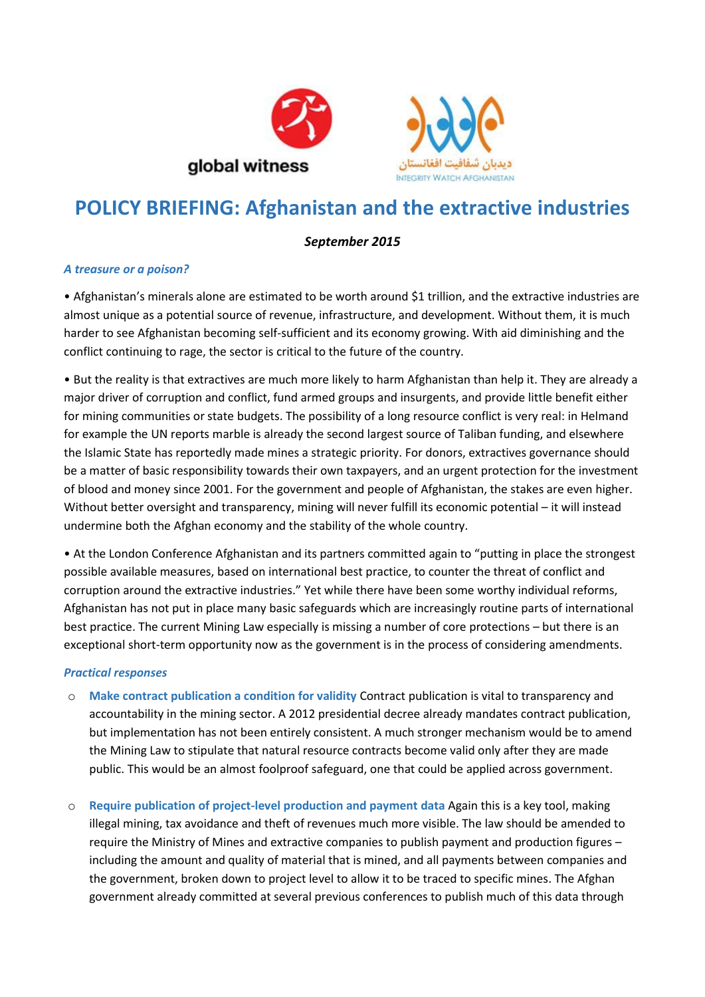



# **POLICY BRIEFING: Afghanistan and the extractive industries**

# *September 2015*

## *A treasure or a poison?*

• Afghanistan's minerals alone are estimated to be worth around \$1 trillion, and the extractive industries are almost unique as a potential source of revenue, infrastructure, and development. Without them, it is much harder to see Afghanistan becoming self-sufficient and its economy growing. With aid diminishing and the conflict continuing to rage, the sector is critical to the future of the country.

• But the reality is that extractives are much more likely to harm Afghanistan than help it. They are already a major driver of corruption and conflict, fund armed groups and insurgents, and provide little benefit either for mining communities or state budgets. The possibility of a long resource conflict is very real: in Helmand for example the UN reports marble is already the second largest source of Taliban funding, and elsewhere the Islamic State has reportedly made mines a strategic priority. For donors, extractives governance should be a matter of basic responsibility towards their own taxpayers, and an urgent protection for the investment of blood and money since 2001. For the government and people of Afghanistan, the stakes are even higher. Without better oversight and transparency, mining will never fulfill its economic potential – it will instead undermine both the Afghan economy and the stability of the whole country.

• At the London Conference Afghanistan and its partners committed again to "putting in place the strongest possible available measures, based on international best practice, to counter the threat of conflict and corruption around the extractive industries." Yet while there have been some worthy individual reforms, Afghanistan has not put in place many basic safeguards which are increasingly routine parts of international best practice. The current Mining Law especially is missing a number of core protections – but there is an exceptional short-term opportunity now as the government is in the process of considering amendments.

### *Practical responses*

- o **Make contract publication a condition for validity** Contract publication is vital to transparency and accountability in the mining sector. A 2012 presidential decree already mandates contract publication, but implementation has not been entirely consistent. A much stronger mechanism would be to amend the Mining Law to stipulate that natural resource contracts become valid only after they are made public. This would be an almost foolproof safeguard, one that could be applied across government.
- o **Require publication of project-level production and payment data** Again this is a key tool, making illegal mining, tax avoidance and theft of revenues much more visible. The law should be amended to require the Ministry of Mines and extractive companies to publish payment and production figures – including the amount and quality of material that is mined, and all payments between companies and the government, broken down to project level to allow it to be traced to specific mines. The Afghan government already committed at several previous conferences to publish much of this data through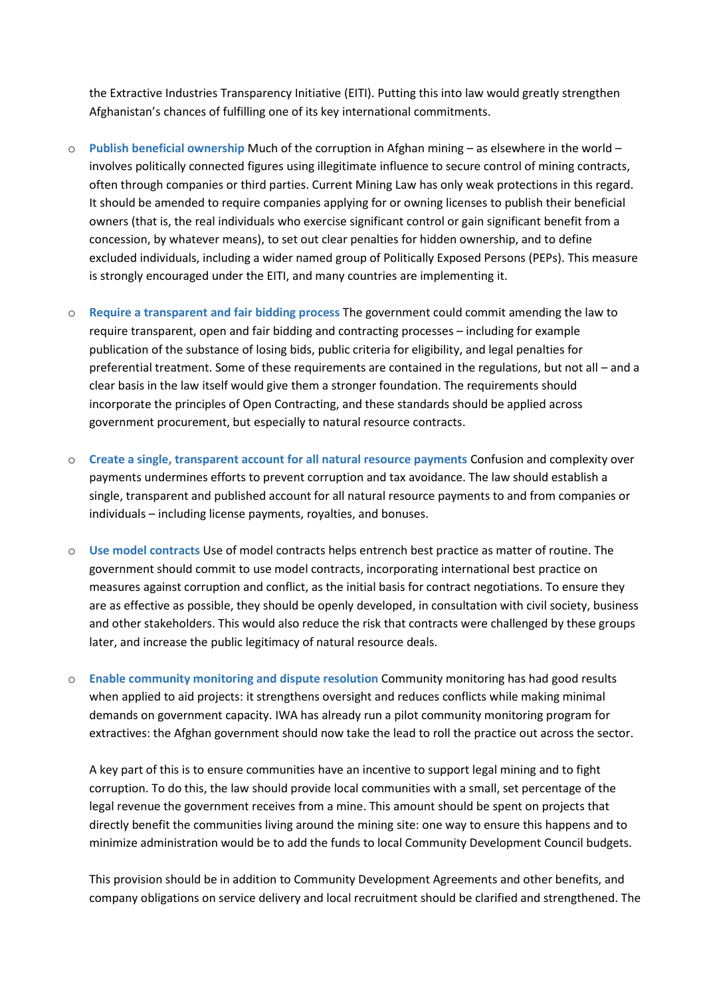the Extractive Industries Transparency Initiative (EITI). Putting this into law would greatly strengthen Afghanistan's chances of fulfilling one of its key international commitments.

- o **Publish beneficial ownership** Much of the corruption in Afghan mining as elsewhere in the world involves politically connected figures using illegitimate influence to secure control of mining contracts, often through companies or third parties. Current Mining Law has only weak protections in this regard. It should be amended to require companies applying for or owning licenses to publish their beneficial owners (that is, the real individuals who exercise significant control or gain significant benefit from a concession, by whatever means), to set out clear penalties for hidden ownership, and to define excluded individuals, including a wider named group of Politically Exposed Persons (PEPs). This measure is strongly encouraged under the EITI, and many countries are implementing it.
- o **Require a transparent and fair bidding process** The government could commit amending the law to require transparent, open and fair bidding and contracting processes – including for example publication of the substance of losing bids, public criteria for eligibility, and legal penalties for preferential treatment. Some of these requirements are contained in the regulations, but not all – and a clear basis in the law itself would give them a stronger foundation. The requirements should incorporate the principles of Open Contracting, and these standards should be applied across government procurement, but especially to natural resource contracts.
- o **Create a single, transparent account for all natural resource payments** Confusion and complexity over payments undermines efforts to prevent corruption and tax avoidance. The law should establish a single, transparent and published account for all natural resource payments to and from companies or individuals – including license payments, royalties, and bonuses.
- o **Use model contracts** Use of model contracts helps entrench best practice as matter of routine. The government should commit to use model contracts, incorporating international best practice on measures against corruption and conflict, as the initial basis for contract negotiations. To ensure they are as effective as possible, they should be openly developed, in consultation with civil society, business and other stakeholders. This would also reduce the risk that contracts were challenged by these groups later, and increase the public legitimacy of natural resource deals.
- o **Enable community monitoring and dispute resolution** Community monitoring has had good results when applied to aid projects: it strengthens oversight and reduces conflicts while making minimal demands on government capacity. IWA has already run a pilot community monitoring program for extractives: the Afghan government should now take the lead to roll the practice out across the sector.

A key part of this is to ensure communities have an incentive to support legal mining and to fight corruption. To do this, the law should provide local communities with a small, set percentage of the legal revenue the government receives from a mine. This amount should be spent on projects that directly benefit the communities living around the mining site: one way to ensure this happens and to minimize administration would be to add the funds to local Community Development Council budgets.

This provision should be in addition to Community Development Agreements and other benefits, and company obligations on service delivery and local recruitment should be clarified and strengthened. The